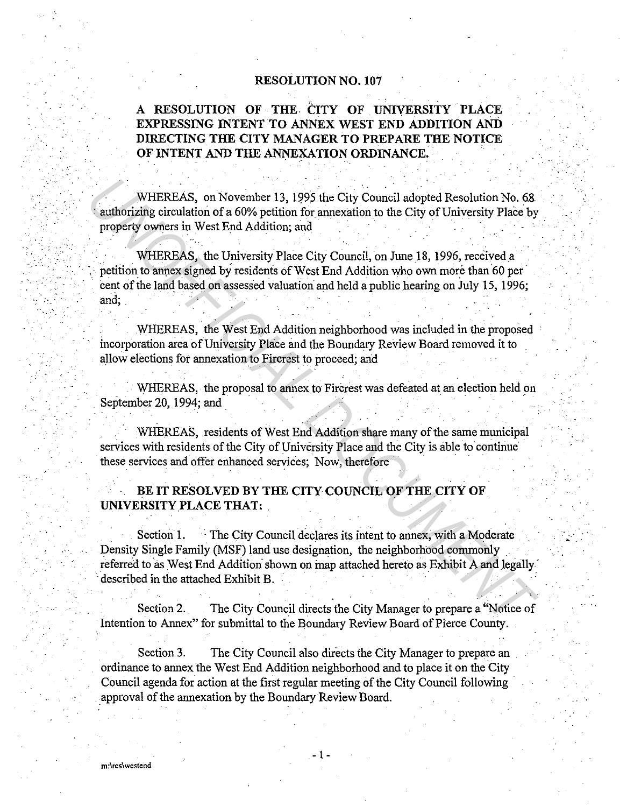#### RESOLUTION NO. 107

## A RESOLUTION OF THE CITY OF UNIVERSITY PLACE EXPRESSING INTENT TO ANNEX WEST END ADDITION AND DIRECTING THE CITY MANAGER TO PREPARE THE NOTICE OF INTENT AND THE ANNEXATION ORDINANCE.

WHEREAS, on November 13, 1995 the City Council adopted Resolution No. 68 • authorizing circulation of a 60% petition for annexation to the City of University Place by property owners in West End Addition; and

WHEREAS, the University Place City Council, on June 18, 1996, received a · petition to annex signed by residents of West End Addition who own more than 60 per cent of the land based on assessed valuation and held a public hearing on July 15, 1996; and;

. WHEREAS, the West End Addition neighborhood was included in the proposed incorporation area of University Place and the Boundary Review Board removed it to allow elections fot annexation to Fircrest to proceed; arid

WHEREAS, the proposal to annex to Fircrest was defeated at an election held on September 20, 1994; and

WHEREAS, residents of West End Addition share many of the same municipal services with residents of the City of University Place and the City is able to continue these services and offer enhanced services; Now, therefore

### BE IT RESOLVED BY THE CITY COUNCIL OF THE CITY OF UNIVERSITY PLACE THAT:

Section 1. The City Council declares its intent to annex, with a Moderate Density Single Family (MSF) land use designation, the neighborhood commonly referred to as West End Addition shown on map attached hereto as Exhibit A and legally described in the attached Exhibit B. WHEREAS, on November 13, 1995 the City Council adopted Resolution No. 68<br>
authorizing circulation of a 60% petition for annexation to the City of University Place by<br>
property owners in West End Addition, and<br>
WHEREAS, the

Section 2. The City Council directs the City Manager to prepare a "Notice of Intention to Annex" for submittal to the Boundary Review Board of Pierce County.

Section 3. The City Council also directs the City Manager to prepare an ordinance to annex the West End Addition neighborhood and to place it on the City Council agenda for action at the first regular meeting of the City Council following · \_approval of the annexation by the Boundary Review Board.

- 1 -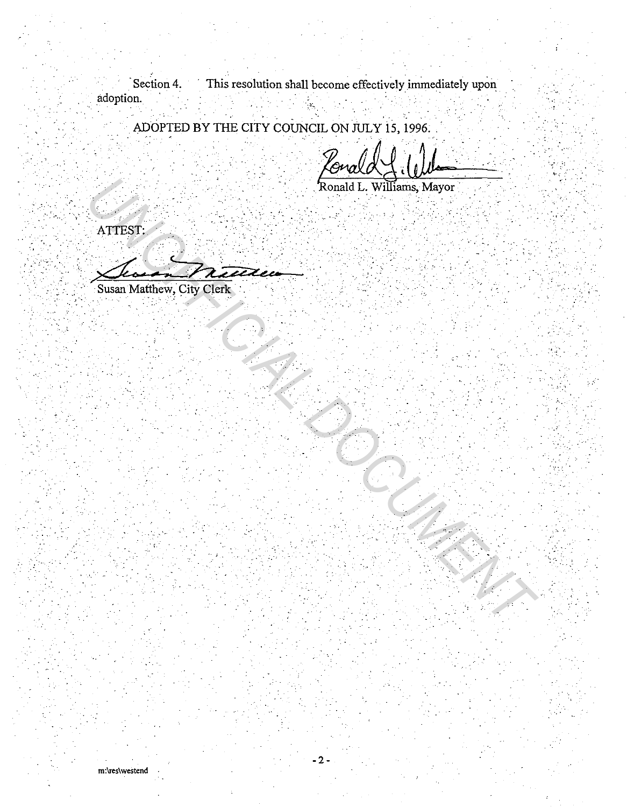Section 4. This resolution shall become effectively immediately upon adoption.

ADOPTED BY THE CITY COUNCIL ON JULY 15, 1996.

cuol'

Ronald L. Williams, Mayor

ATTEST:

Susan Matthew, City Clerk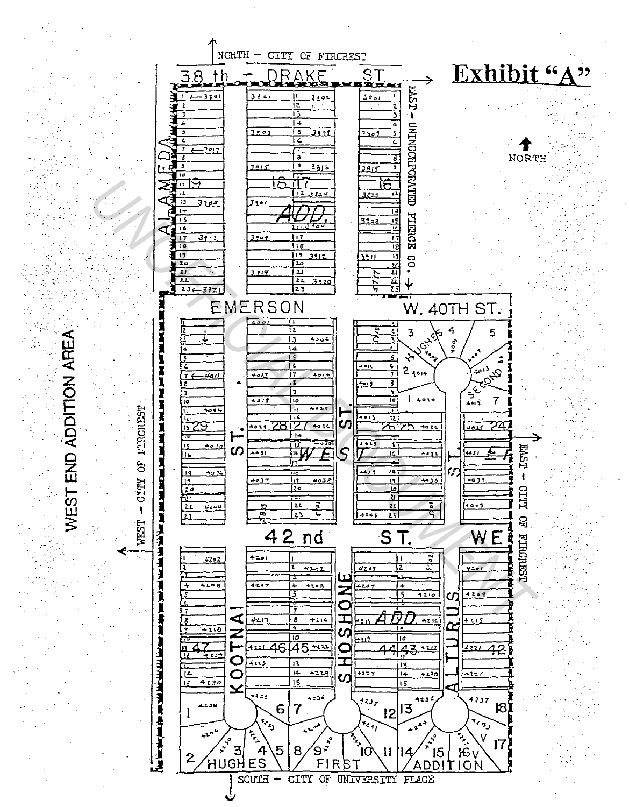